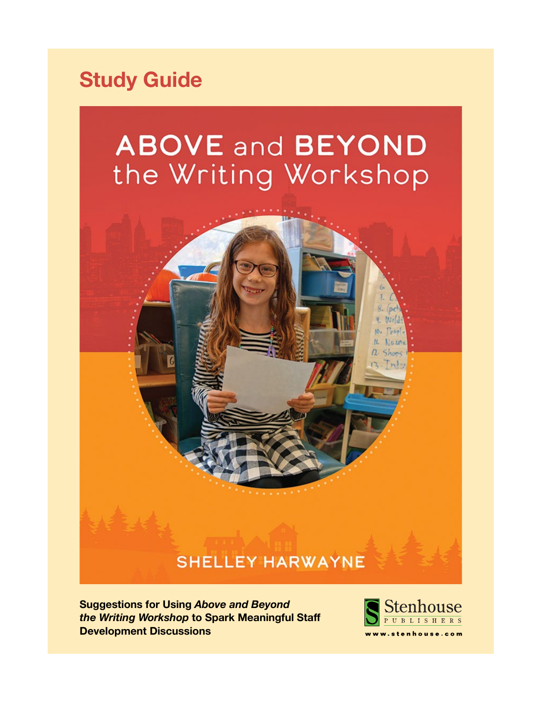# **Study Guide**

# **ABOVE and BEYOND** the Writing Workshop

## **SHELLEY HARWAYNE**

**Suggestions for Using** *Above and Beyond the Writing Workshop* **to Spark Meaningful Staff Development Discussions** 

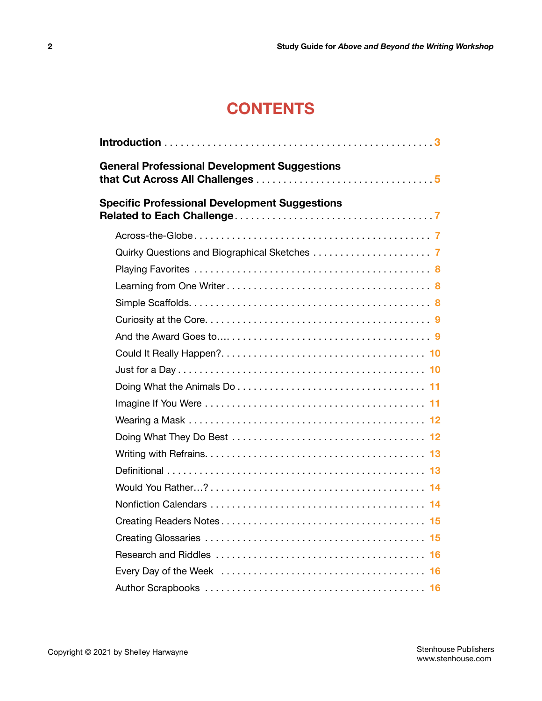## **CONTENTS**

|                                                      | <b>General Professional Development Suggestions</b> |  |
|------------------------------------------------------|-----------------------------------------------------|--|
| <b>Specific Professional Development Suggestions</b> |                                                     |  |
|                                                      |                                                     |  |
|                                                      |                                                     |  |
|                                                      |                                                     |  |
|                                                      |                                                     |  |
|                                                      |                                                     |  |
|                                                      |                                                     |  |
|                                                      |                                                     |  |
|                                                      |                                                     |  |
|                                                      |                                                     |  |
|                                                      |                                                     |  |
|                                                      |                                                     |  |
|                                                      |                                                     |  |
|                                                      |                                                     |  |
|                                                      |                                                     |  |
|                                                      |                                                     |  |
|                                                      |                                                     |  |
|                                                      |                                                     |  |
|                                                      |                                                     |  |
|                                                      |                                                     |  |
|                                                      |                                                     |  |
|                                                      |                                                     |  |
|                                                      |                                                     |  |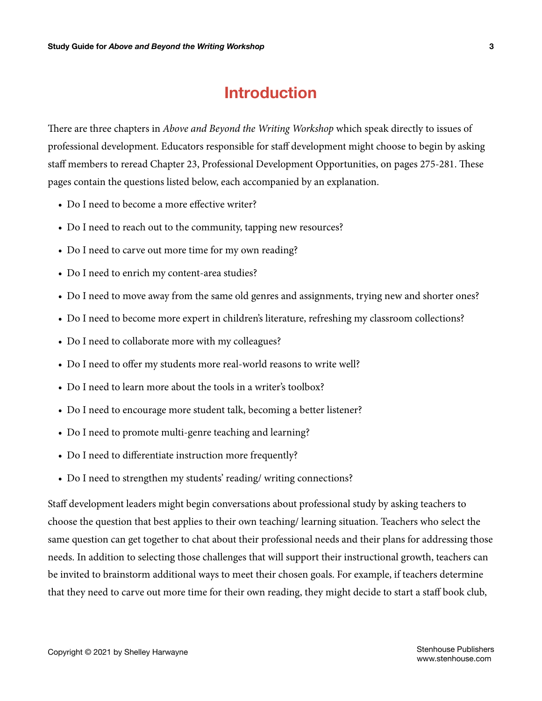## **Introduction**

<span id="page-2-0"></span>There are three chapters in *Above and Beyond the Writing Workshop* which speak directly to issues of professional development. Educators responsible for staff development might choose to begin by asking staff members to reread Chapter 23, Professional Development Opportunities, on pages 275-281. These pages contain the questions listed below, each accompanied by an explanation.

- Do I need to become a more effective writer?
- Do I need to reach out to the community, tapping new resources?
- Do I need to carve out more time for my own reading?
- Do I need to enrich my content-area studies?
- Do I need to move away from the same old genres and assignments, trying new and shorter ones?
- Do I need to become more expert in children's literature, refreshing my classroom collections?
- Do I need to collaborate more with my colleagues?
- Do I need to offer my students more real-world reasons to write well?
- Do I need to learn more about the tools in a writer's toolbox?
- Do I need to encourage more student talk, becoming a better listener?
- Do I need to promote multi-genre teaching and learning?
- Do I need to differentiate instruction more frequently?
- Do I need to strengthen my students' reading/writing connections?

Staff development leaders might begin conversations about professional study by asking teachers to choose the question that best applies to their own teaching/ learning situation. Teachers who select the same question can get together to chat about their professional needs and their plans for addressing those needs. In addition to selecting those challenges that will support their instructional growth, teachers can be invited to brainstorm additional ways to meet their chosen goals. For example, if teachers determine that they need to carve out more time for their own reading, they might decide to start a staff book club,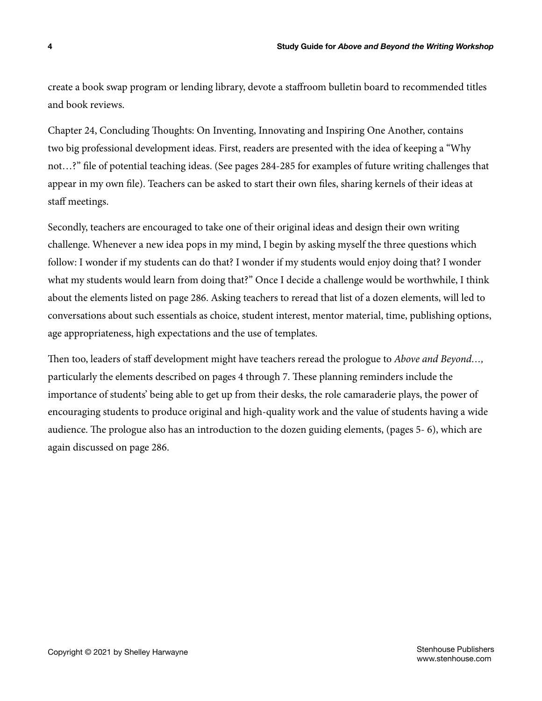create a book swap program or lending library, devote a staffroom bulletin board to recommended titles and book reviews.

Chapter 24, Concluding Thoughts: On Inventing, Innovating and Inspiring One Another, contains two big professional development ideas. First, readers are presented with the idea of keeping a "Why not…?" file of potential teaching ideas. (See pages 284-285 for examples of future writing challenges that appear in my own file). Teachers can be asked to start their own files, sharing kernels of their ideas at staff meetings.

Secondly, teachers are encouraged to take one of their original ideas and design their own writing challenge. Whenever a new idea pops in my mind, I begin by asking myself the three questions which follow: I wonder if my students can do that? I wonder if my students would enjoy doing that? I wonder what my students would learn from doing that?" Once I decide a challenge would be worthwhile, I think about the elements listed on page 286. Asking teachers to reread that list of a dozen elements, will led to conversations about such essentials as choice, student interest, mentor material, time, publishing options, age appropriateness, high expectations and the use of templates.

Then too, leaders of staff development might have teachers reread the prologue to *Above and Beyond…,* particularly the elements described on pages 4 through 7. These planning reminders include the importance of students' being able to get up from their desks, the role camaraderie plays, the power of encouraging students to produce original and high-quality work and the value of students having a wide audience. The prologue also has an introduction to the dozen guiding elements, (pages 5- 6), which are again discussed on page 286.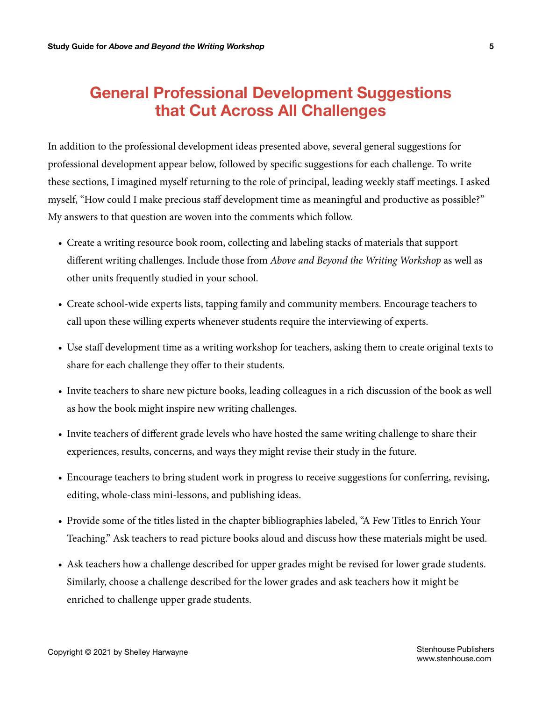## <span id="page-4-0"></span>**General Professional Development Suggestions that Cut Across All Challenges**

In addition to the professional development ideas presented above, several general suggestions for professional development appear below, followed by specific suggestions for each challenge. To write these sections, I imagined myself returning to the role of principal, leading weekly staff meetings. I asked myself, "How could I make precious staff development time as meaningful and productive as possible?" My answers to that question are woven into the comments which follow.

- Create a writing resource book room, collecting and labeling stacks of materials that support different writing challenges. Include those from *Above and Beyond the Writing Workshop* as well as other units frequently studied in your school.
- Create school-wide experts lists, tapping family and community members. Encourage teachers to call upon these willing experts whenever students require the interviewing of experts.
- Use staff development time as a writing workshop for teachers, asking them to create original texts to share for each challenge they offer to their students.
- Invite teachers to share new picture books, leading colleagues in a rich discussion of the book as well as how the book might inspire new writing challenges.
- Invite teachers of different grade levels who have hosted the same writing challenge to share their experiences, results, concerns, and ways they might revise their study in the future.
- Encourage teachers to bring student work in progress to receive suggestions for conferring, revising, editing, whole-class mini-lessons, and publishing ideas.
- Provide some of the titles listed in the chapter bibliographies labeled, "A Few Titles to Enrich Your Teaching." Ask teachers to read picture books aloud and discuss how these materials might be used.
- Ask teachers how a challenge described for upper grades might be revised for lower grade students. Similarly, choose a challenge described for the lower grades and ask teachers how it might be enriched to challenge upper grade students.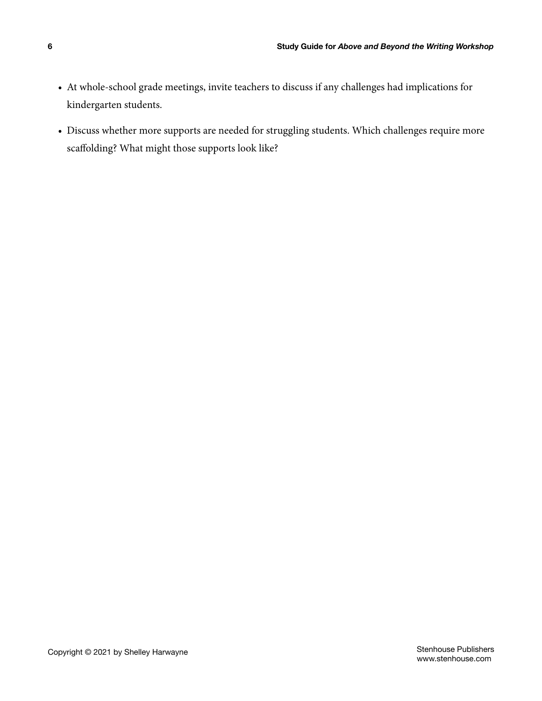- At whole-school grade meetings, invite teachers to discuss if any challenges had implications for kindergarten students.
- Discuss whether more supports are needed for struggling students. Which challenges require more scaffolding? What might those supports look like?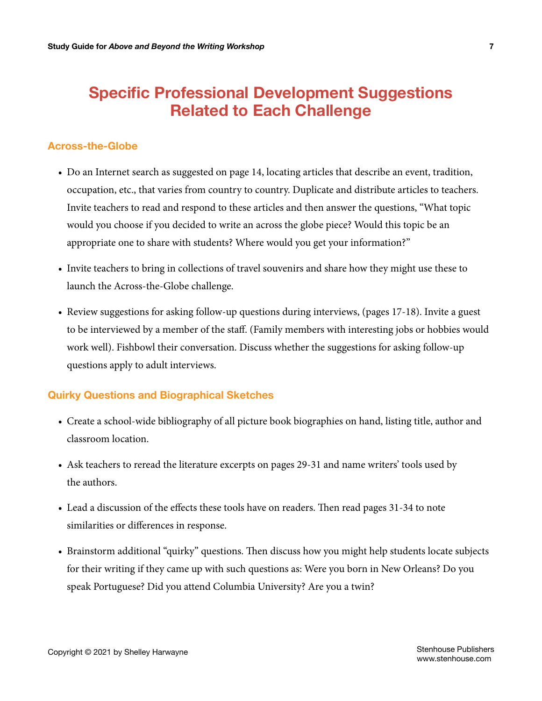## <span id="page-6-0"></span>**Specific Professional Development Suggestions Related to Each Challenge**

#### **Across-the-Globe**

- Do an Internet search as suggested on page 14, locating articles that describe an event, tradition, occupation, etc., that varies from country to country. Duplicate and distribute articles to teachers. Invite teachers to read and respond to these articles and then answer the questions, "What topic would you choose if you decided to write an across the globe piece? Would this topic be an appropriate one to share with students? Where would you get your information?"
- Invite teachers to bring in collections of travel souvenirs and share how they might use these to launch the Across-the-Globe challenge.
- Review suggestions for asking follow-up questions during interviews, (pages 17-18). Invite a guest to be interviewed by a member of the staff. (Family members with interesting jobs or hobbies would work well). Fishbowl their conversation. Discuss whether the suggestions for asking follow-up questions apply to adult interviews.

#### **Quirky Questions and Biographical Sketches**

- Create a school-wide bibliography of all picture book biographies on hand, listing title, author and classroom location.
- Ask teachers to reread the literature excerpts on pages 29-31 and name writers' tools used by the authors.
- Lead a discussion of the effects these tools have on readers. Then read pages 31-34 to note similarities or differences in response.
- Brainstorm additional "quirky" questions. Then discuss how you might help students locate subjects for their writing if they came up with such questions as: Were you born in New Orleans? Do you speak Portuguese? Did you attend Columbia University? Are you a twin?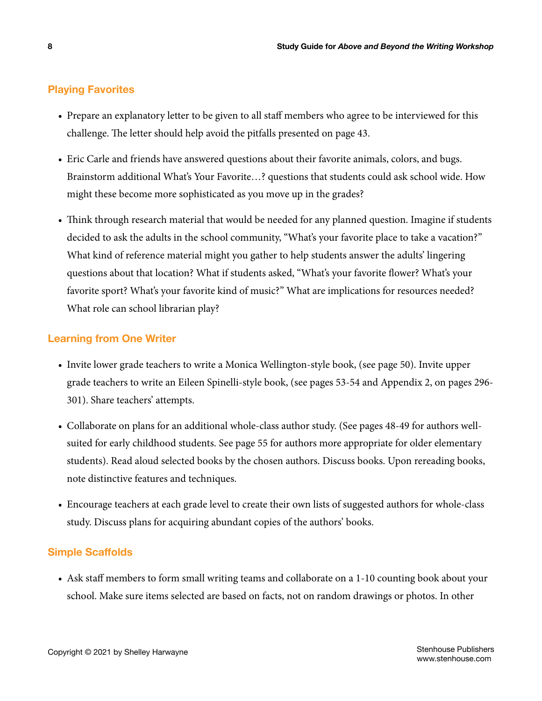#### <span id="page-7-0"></span>**Playing Favorites**

- Prepare an explanatory letter to be given to all staff members who agree to be interviewed for this challenge. The letter should help avoid the pitfalls presented on page 43.
- Eric Carle and friends have answered questions about their favorite animals, colors, and bugs. Brainstorm additional What's Your Favorite…? questions that students could ask school wide. How might these become more sophisticated as you move up in the grades?
- Think through research material that would be needed for any planned question. Imagine if students decided to ask the adults in the school community, "What's your favorite place to take a vacation?" What kind of reference material might you gather to help students answer the adults' lingering questions about that location? What if students asked, "What's your favorite flower? What's your favorite sport? What's your favorite kind of music?" What are implications for resources needed? What role can school librarian play?

#### **Learning from One Writer**

- Invite lower grade teachers to write a Monica Wellington-style book, (see page 50). Invite upper grade teachers to write an Eileen Spinelli-style book, (see pages 53-54 and Appendix 2, on pages 296- 301). Share teachers' attempts.
- Collaborate on plans for an additional whole-class author study. (See pages 48-49 for authors wellsuited for early childhood students. See page 55 for authors more appropriate for older elementary students). Read aloud selected books by the chosen authors. Discuss books. Upon rereading books, note distinctive features and techniques.
- Encourage teachers at each grade level to create their own lists of suggested authors for whole-class study. Discuss plans for acquiring abundant copies of the authors' books.

#### **Simple Scaffolds**

• Ask staff members to form small writing teams and collaborate on a 1-10 counting book about your school. Make sure items selected are based on facts, not on random drawings or photos. In other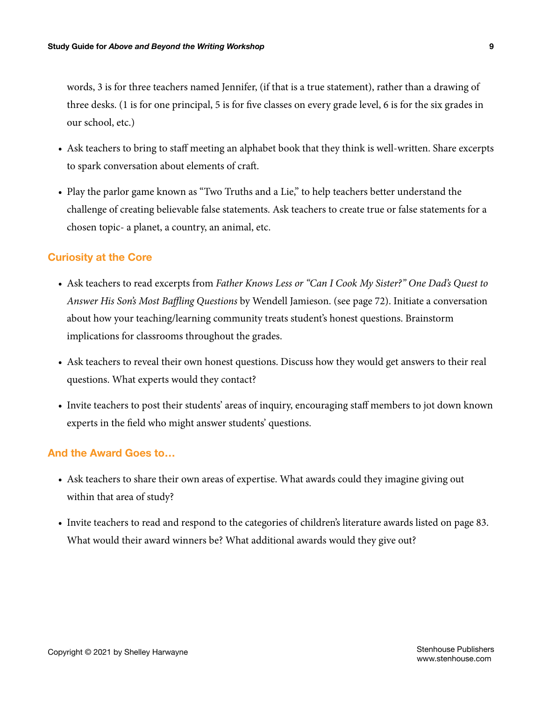<span id="page-8-0"></span>words, 3 is for three teachers named Jennifer, (if that is a true statement), rather than a drawing of three desks. (1 is for one principal, 5 is for five classes on every grade level, 6 is for the six grades in our school, etc.)

- Ask teachers to bring to staff meeting an alphabet book that they think is well-written. Share excerpts to spark conversation about elements of craft.
- Play the parlor game known as "Two Truths and a Lie," to help teachers better understand the challenge of creating believable false statements. Ask teachers to create true or false statements for a chosen topic- a planet, a country, an animal, etc.

#### **Curiosity at the Core**

- Ask teachers to read excerpts from *Father Knows Less or "Can I Cook My Sister?" One Dad's Quest to Answer His Son's Most Baffling Questions* by Wendell Jamieson. (see page 72). Initiate a conversation about how your teaching/learning community treats student's honest questions. Brainstorm implications for classrooms throughout the grades.
- Ask teachers to reveal their own honest questions. Discuss how they would get answers to their real questions. What experts would they contact?
- Invite teachers to post their students' areas of inquiry, encouraging staff members to jot down known experts in the field who might answer students' questions.

#### **And the Award Goes to…**

- Ask teachers to share their own areas of expertise. What awards could they imagine giving out within that area of study?
- Invite teachers to read and respond to the categories of children's literature awards listed on page 83. What would their award winners be? What additional awards would they give out?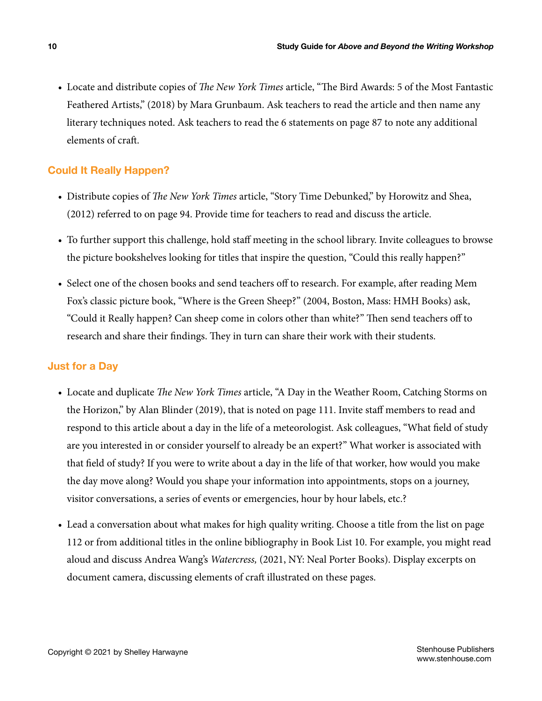<span id="page-9-0"></span>• Locate and distribute copies of *The New York Times* article, "The Bird Awards: 5 of the Most Fantastic Feathered Artists," (2018) by Mara Grunbaum. Ask teachers to read the article and then name any literary techniques noted. Ask teachers to read the 6 statements on page 87 to note any additional elements of craft.

#### **Could It Really Happen?**

- Distribute copies of *The New York Times* article, "Story Time Debunked," by Horowitz and Shea, (2012) referred to on page 94. Provide time for teachers to read and discuss the article.
- To further support this challenge, hold staff meeting in the school library. Invite colleagues to browse the picture bookshelves looking for titles that inspire the question, "Could this really happen?"
- Select one of the chosen books and send teachers off to research. For example, after reading Mem Fox's classic picture book, "Where is the Green Sheep?" (2004, Boston, Mass: HMH Books) ask, "Could it Really happen? Can sheep come in colors other than white?" Then send teachers off to research and share their findings. They in turn can share their work with their students.

#### **Just for a Day**

- Locate and duplicate *The New York Times* article, "A Day in the Weather Room, Catching Storms on the Horizon," by Alan Blinder (2019), that is noted on page 111. Invite staff members to read and respond to this article about a day in the life of a meteorologist. Ask colleagues, "What field of study are you interested in or consider yourself to already be an expert?" What worker is associated with that field of study? If you were to write about a day in the life of that worker, how would you make the day move along? Would you shape your information into appointments, stops on a journey, visitor conversations, a series of events or emergencies, hour by hour labels, etc.?
- Lead a conversation about what makes for high quality writing. Choose a title from the list on page 112 or from additional titles in the online bibliography in Book List 10. For example, you might read aloud and discuss Andrea Wang's *Watercress,* (2021, NY: Neal Porter Books). Display excerpts on document camera, discussing elements of craft illustrated on these pages.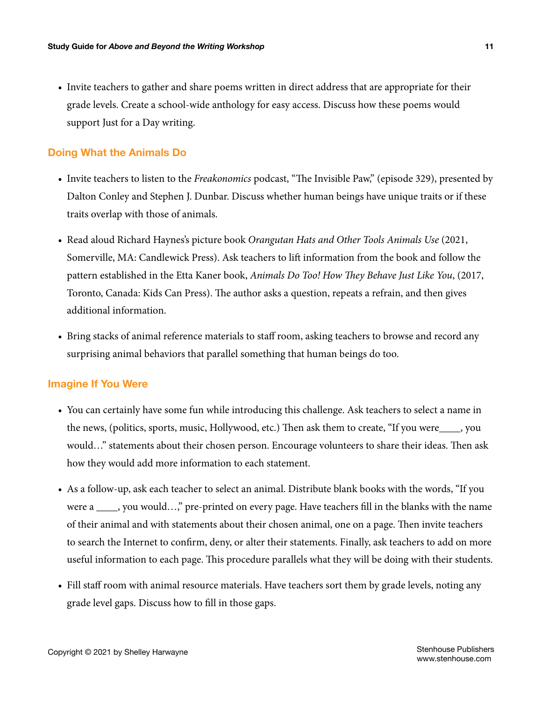<span id="page-10-0"></span>• Invite teachers to gather and share poems written in direct address that are appropriate for their grade levels. Create a school-wide anthology for easy access. Discuss how these poems would support Just for a Day writing.

#### **Doing What the Animals Do**

- Invite teachers to listen to the *Freakonomics* podcast, "The Invisible Paw," (episode 329), presented by Dalton Conley and Stephen J. Dunbar. Discuss whether human beings have unique traits or if these traits overlap with those of animals.
- Read aloud Richard Haynes's picture book *Orangutan Hats and Other Tools Animals Use* (2021, Somerville, MA: Candlewick Press). Ask teachers to lift information from the book and follow the pattern established in the Etta Kaner book, *Animals Do Too! How They Behave Just Like You*, (2017, Toronto, Canada: Kids Can Press). The author asks a question, repeats a refrain, and then gives additional information.
- Bring stacks of animal reference materials to staff room, asking teachers to browse and record any surprising animal behaviors that parallel something that human beings do too.

#### **Imagine If You Were**

- You can certainly have some fun while introducing this challenge. Ask teachers to select a name in the news, (politics, sports, music, Hollywood, etc.) Then ask them to create, "If you were\_\_\_\_, you would…" statements about their chosen person. Encourage volunteers to share their ideas. Then ask how they would add more information to each statement.
- As a follow-up, ask each teacher to select an animal. Distribute blank books with the words, "If you were a \_\_\_\_, you would...," pre-printed on every page. Have teachers fill in the blanks with the name of their animal and with statements about their chosen animal, one on a page. Then invite teachers to search the Internet to confirm, deny, or alter their statements. Finally, ask teachers to add on more useful information to each page. This procedure parallels what they will be doing with their students.
- Fill staff room with animal resource materials. Have teachers sort them by grade levels, noting any grade level gaps. Discuss how to fill in those gaps.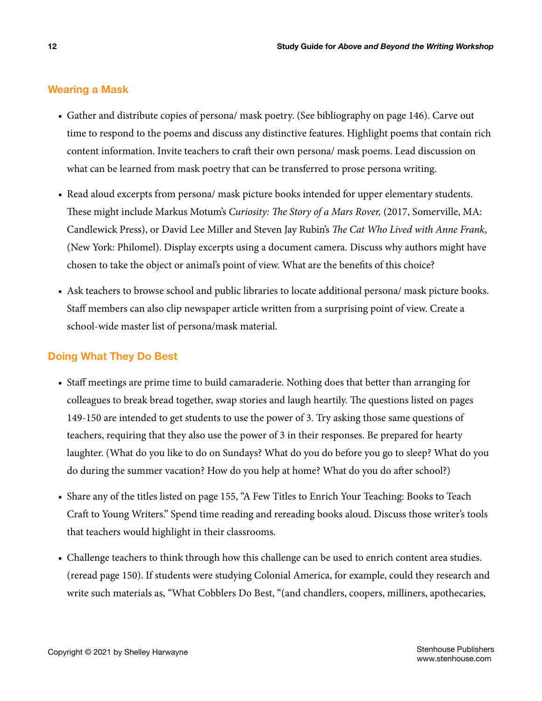#### <span id="page-11-0"></span>**Wearing a Mask**

- Gather and distribute copies of persona/ mask poetry. (See bibliography on page 146). Carve out time to respond to the poems and discuss any distinctive features. Highlight poems that contain rich content information. Invite teachers to craft their own persona/ mask poems. Lead discussion on what can be learned from mask poetry that can be transferred to prose persona writing.
- Read aloud excerpts from persona/ mask picture books intended for upper elementary students. These might include Markus Motum's *Curiosity: The Story of a Mars Rover,* (2017, Somerville, MA: Candlewick Press), or David Lee Miller and Steven Jay Rubin's *The Cat Who Lived with Anne Frank*, (New York: Philomel). Display excerpts using a document camera. Discuss why authors might have chosen to take the object or animal's point of view. What are the benefits of this choice?
- Ask teachers to browse school and public libraries to locate additional persona/ mask picture books. Staff members can also clip newspaper article written from a surprising point of view. Create a school-wide master list of persona/mask material.

#### **Doing What They Do Best**

- Staff meetings are prime time to build camaraderie. Nothing does that better than arranging for colleagues to break bread together, swap stories and laugh heartily. The questions listed on pages 149-150 are intended to get students to use the power of 3. Try asking those same questions of teachers, requiring that they also use the power of 3 in their responses. Be prepared for hearty laughter. (What do you like to do on Sundays? What do you do before you go to sleep? What do you do during the summer vacation? How do you help at home? What do you do after school?)
- Share any of the titles listed on page 155, "A Few Titles to Enrich Your Teaching: Books to Teach Craft to Young Writers." Spend time reading and rereading books aloud. Discuss those writer's tools that teachers would highlight in their classrooms.
- Challenge teachers to think through how this challenge can be used to enrich content area studies. (reread page 150). If students were studying Colonial America, for example, could they research and write such materials as, "What Cobblers Do Best, "(and chandlers, coopers, milliners, apothecaries,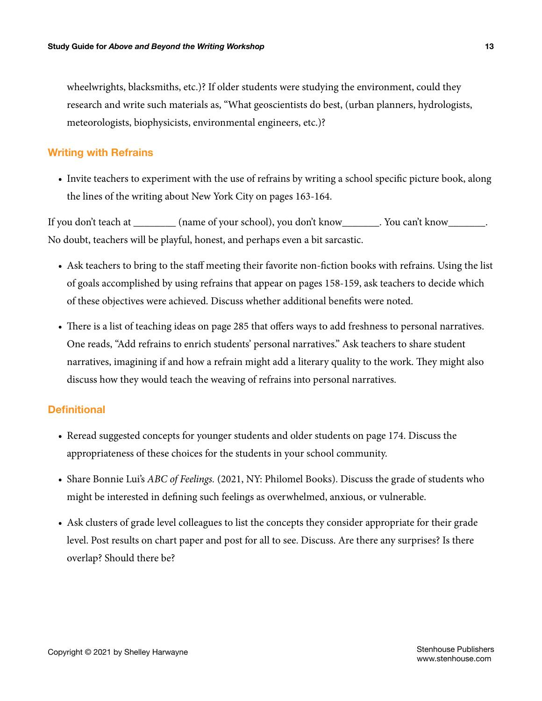<span id="page-12-0"></span>wheelwrights, blacksmiths, etc.)? If older students were studying the environment, could they research and write such materials as, "What geoscientists do best, (urban planners, hydrologists, meteorologists, biophysicists, environmental engineers, etc.)?

#### **Writing with Refrains**

• Invite teachers to experiment with the use of refrains by writing a school specific picture book, along the lines of the writing about New York City on pages 163-164.

If you don't teach at \_\_\_\_\_\_\_\_ (name of your school), you don't know\_\_\_\_\_\_\_. You can't know\_\_\_\_\_\_\_. No doubt, teachers will be playful, honest, and perhaps even a bit sarcastic.

- Ask teachers to bring to the staff meeting their favorite non-fiction books with refrains. Using the list of goals accomplished by using refrains that appear on pages 158-159, ask teachers to decide which of these objectives were achieved. Discuss whether additional benefits were noted.
- There is a list of teaching ideas on page 285 that offers ways to add freshness to personal narratives. One reads, "Add refrains to enrich students' personal narratives." Ask teachers to share student narratives, imagining if and how a refrain might add a literary quality to the work. They might also discuss how they would teach the weaving of refrains into personal narratives.

#### **Definitional**

- Reread suggested concepts for younger students and older students on page 174. Discuss the appropriateness of these choices for the students in your school community.
- Share Bonnie Lui's *ABC of Feelings.* (2021, NY: Philomel Books). Discuss the grade of students who might be interested in defining such feelings as overwhelmed, anxious, or vulnerable.
- Ask clusters of grade level colleagues to list the concepts they consider appropriate for their grade level. Post results on chart paper and post for all to see. Discuss. Are there any surprises? Is there overlap? Should there be?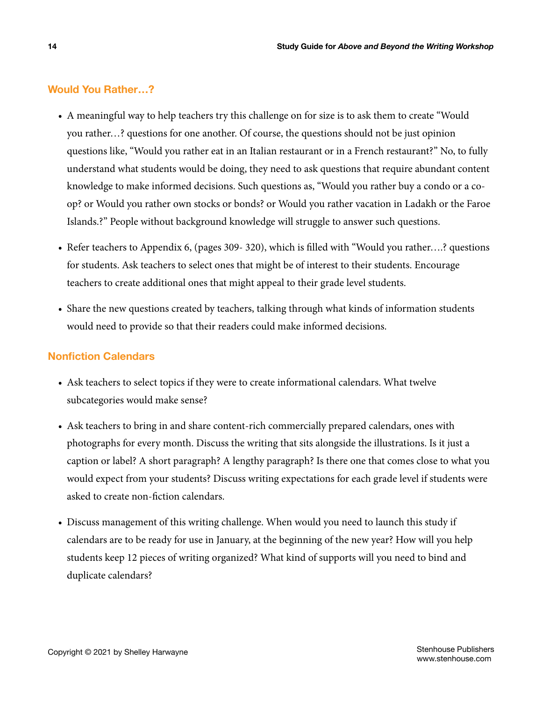#### <span id="page-13-0"></span>**Would You Rather…?**

- A meaningful way to help teachers try this challenge on for size is to ask them to create "Would you rather…? questions for one another. Of course, the questions should not be just opinion questions like, "Would you rather eat in an Italian restaurant or in a French restaurant?" No, to fully understand what students would be doing, they need to ask questions that require abundant content knowledge to make informed decisions. Such questions as, "Would you rather buy a condo or a coop? or Would you rather own stocks or bonds? or Would you rather vacation in Ladakh or the Faroe Islands.?" People without background knowledge will struggle to answer such questions.
- Refer teachers to Appendix 6, (pages 309- 320), which is filled with "Would you rather….? questions for students. Ask teachers to select ones that might be of interest to their students. Encourage teachers to create additional ones that might appeal to their grade level students.
- Share the new questions created by teachers, talking through what kinds of information students would need to provide so that their readers could make informed decisions.

#### **Nonfiction Calendars**

- Ask teachers to select topics if they were to create informational calendars. What twelve subcategories would make sense?
- Ask teachers to bring in and share content-rich commercially prepared calendars, ones with photographs for every month. Discuss the writing that sits alongside the illustrations. Is it just a caption or label? A short paragraph? A lengthy paragraph? Is there one that comes close to what you would expect from your students? Discuss writing expectations for each grade level if students were asked to create non-fiction calendars.
- Discuss management of this writing challenge. When would you need to launch this study if calendars are to be ready for use in January, at the beginning of the new year? How will you help students keep 12 pieces of writing organized? What kind of supports will you need to bind and duplicate calendars?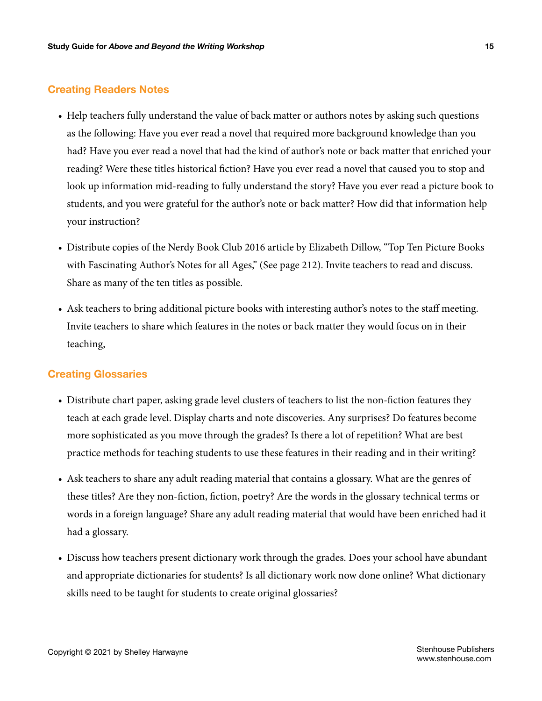#### <span id="page-14-0"></span>**Creating Readers Notes**

- Help teachers fully understand the value of back matter or authors notes by asking such questions as the following: Have you ever read a novel that required more background knowledge than you had? Have you ever read a novel that had the kind of author's note or back matter that enriched your reading? Were these titles historical fiction? Have you ever read a novel that caused you to stop and look up information mid-reading to fully understand the story? Have you ever read a picture book to students, and you were grateful for the author's note or back matter? How did that information help your instruction?
- Distribute copies of the Nerdy Book Club 2016 article by Elizabeth Dillow, "Top Ten Picture Books with Fascinating Author's Notes for all Ages," (See page 212). Invite teachers to read and discuss. Share as many of the ten titles as possible.
- Ask teachers to bring additional picture books with interesting author's notes to the staff meeting. Invite teachers to share which features in the notes or back matter they would focus on in their teaching,

#### **Creating Glossaries**

- Distribute chart paper, asking grade level clusters of teachers to list the non-fiction features they teach at each grade level. Display charts and note discoveries. Any surprises? Do features become more sophisticated as you move through the grades? Is there a lot of repetition? What are best practice methods for teaching students to use these features in their reading and in their writing?
- Ask teachers to share any adult reading material that contains a glossary. What are the genres of these titles? Are they non-fiction, fiction, poetry? Are the words in the glossary technical terms or words in a foreign language? Share any adult reading material that would have been enriched had it had a glossary.
- Discuss how teachers present dictionary work through the grades. Does your school have abundant and appropriate dictionaries for students? Is all dictionary work now done online? What dictionary skills need to be taught for students to create original glossaries?